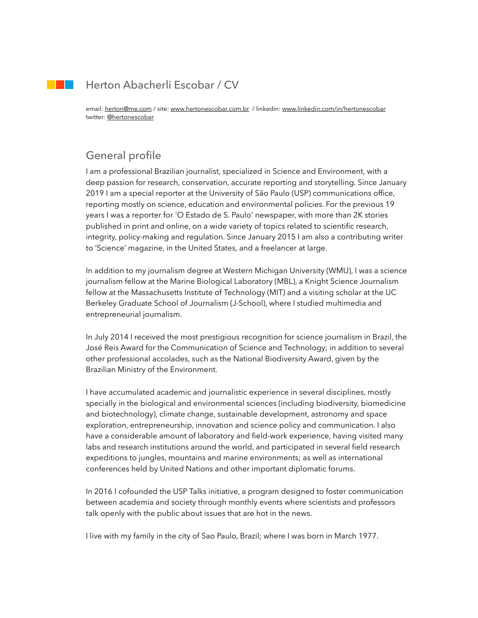## Herton Abacherli Escobar / CV

email: [herton@me.com](mailto:herton@me.com) / site: [www.hertonescobar.com.br](http://www.hertonescobar.com.br) / linkedin: [www.linkedin.com/in/hertonescobar](http://www.linkedin.com/in/hertonescobar) twitter: [@hertonescobar](https://twitter.com/hertonescobar)

# General profile

 $\sim 100$ 

I am a professional Brazilian journalist, specialized in Science and Environment, with a deep passion for research, conservation, accurate reporting and storytelling. Since January 2019 I am a special reporter at the University of São Paulo (USP) communications office, reporting mostly on science, education and environmental policies. For the previous 19 years I was a reporter for 'O Estado de S. Paulo' newspaper, with more than 2K stories published in print and online, on a wide variety of topics related to scientific research, integrity, policy-making and regulation. Since January 2015 I am also a contributing writer to 'Science' magazine, in the United States, and a freelancer at large.

In addition to my journalism degree at Western Michigan University (WMU), I was a science journalism fellow at the Marine Biological Laboratory (MBL), a Knight Science Journalism fellow at the Massachusetts Institute of Technology (MIT) and a visiting scholar at the UC Berkeley Graduate School of Journalism (J-School), where I studied multimedia and entrepreneurial journalism.

In July 2014 I received the most prestigious recognition for science journalism in Brazil, the José Reis Award for the Communication of Science and Technology; in addition to several other professional accolades, such as the National Biodiversity Award, given by the Brazilian Ministry of the Environment.

I have accumulated academic and journalistic experience in several disciplines, mostly specially in the biological and environmental sciences (including biodiversity, biomedicine and biotechnology), climate change, sustainable development, astronomy and space exploration, entrepreneurship, innovation and science policy and communication. I also have a considerable amount of laboratory and field-work experience, having visited many labs and research institutions around the world, and participated in several field research expeditions to jungles, mountains and marine environments; as well as international conferences held by United Nations and other important diplomatic forums.

In 2016 I cofounded the USP Talks initiative, a program designed to foster communication between academia and society through monthly events where scientists and professors talk openly with the public about issues that are hot in the news.

I live with my family in the city of Sao Paulo, Brazil; where I was born in March 1977.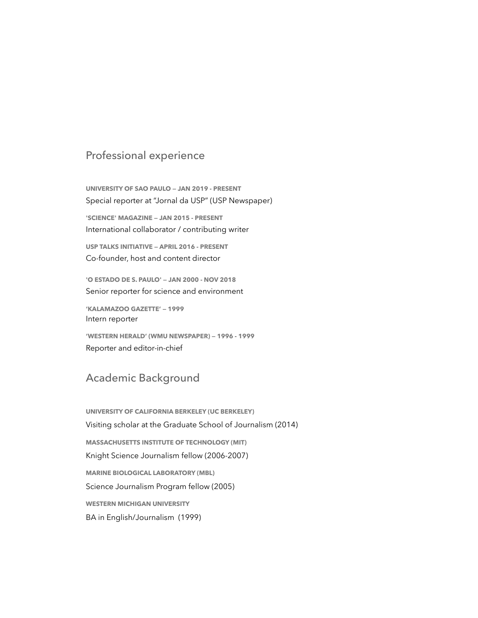## Professional experience

**UNIVERSITY OF SAO PAULO — JAN 2019 - PRESENT** Special reporter at "Jornal da USP" (USP Newspaper)

**'SCIENCE' MAGAZINE — JAN 2015 - PRESENT** International collaborator / contributing writer

**USP TALKS INITIATIVE — APRIL 2016 - PRESENT** Co-founder, host and content director

**'O ESTADO DE S. PAULO' — JAN 2000 - NOV 2018** Senior reporter for science and environment

**'KALAMAZOO GAZETTE' — 1999** Intern reporter

**'WESTERN HERALD' (WMU NEWSPAPER) — 1996 - 1999** Reporter and editor-in-chief

## Academic Background

**UNIVERSITY OF CALIFORNIA BERKELEY (UC BERKELEY)** Visiting scholar at the Graduate School of Journalism (2014) **MASSACHUSETTS INSTITUTE OF TECHNOLOGY (MIT)** Knight Science Journalism fellow (2006-2007) **MARINE BIOLOGICAL LABORATORY (MBL)** Science Journalism Program fellow (2005) **WESTERN MICHIGAN UNIVERSITY** BA in English/Journalism (1999)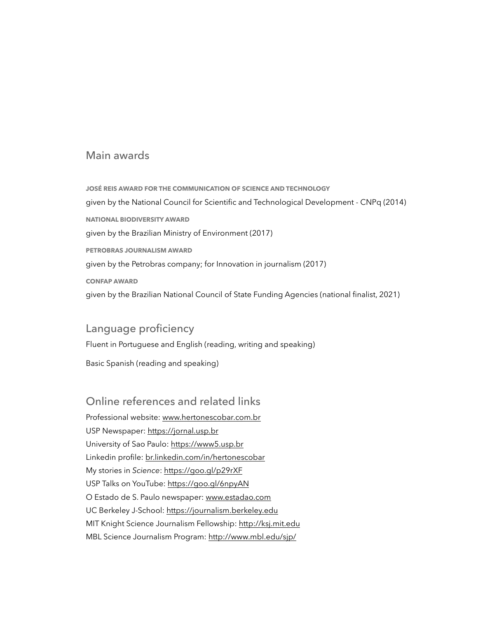## Main awards

**JOSÉ REIS AWARD FOR THE COMMUNICATION OF SCIENCE AND TECHNOLOGY** given by the National Council for Scientific and Technological Development - CNPq (2014) **NATIONAL BIODIVERSITY AWARD** given by the Brazilian Ministry of Environment (2017) **PETROBRAS JOURNALISM AWARD** given by the Petrobras company; for Innovation in journalism (2017) **CONFAP AWARD** given by the Brazilian National Council of State Funding Agencies (national finalist, 2021)

## Language proficiency

Fluent in Portuguese and English (reading, writing and speaking)

Basic Spanish (reading and speaking)

## Online references and related links

Professional website: [www.hertonescobar.com.br](http://www.hertonescobar.com.br) USP Newspaper:<https://jornal.usp.br> University of Sao Paulo: <https://www5.usp.br> Linkedin profile: [br.linkedin.com/in/hertonescobar](http://br.linkedin.com/in/hertonescobar) My stories in *Science*:<https://goo.gl/p29rXF> USP Talks on YouTube: <https://goo.gl/6npyAN> O Estado de S. Paulo newspaper: [www.estadao.com](http://www.estadao.com) UC Berkeley J-School:<https://journalism.berkeley.edu> MIT Knight Science Journalism Fellowship:<http://ksj.mit.edu> MBL Science Journalism Program:<http://www.mbl.edu/sjp/>